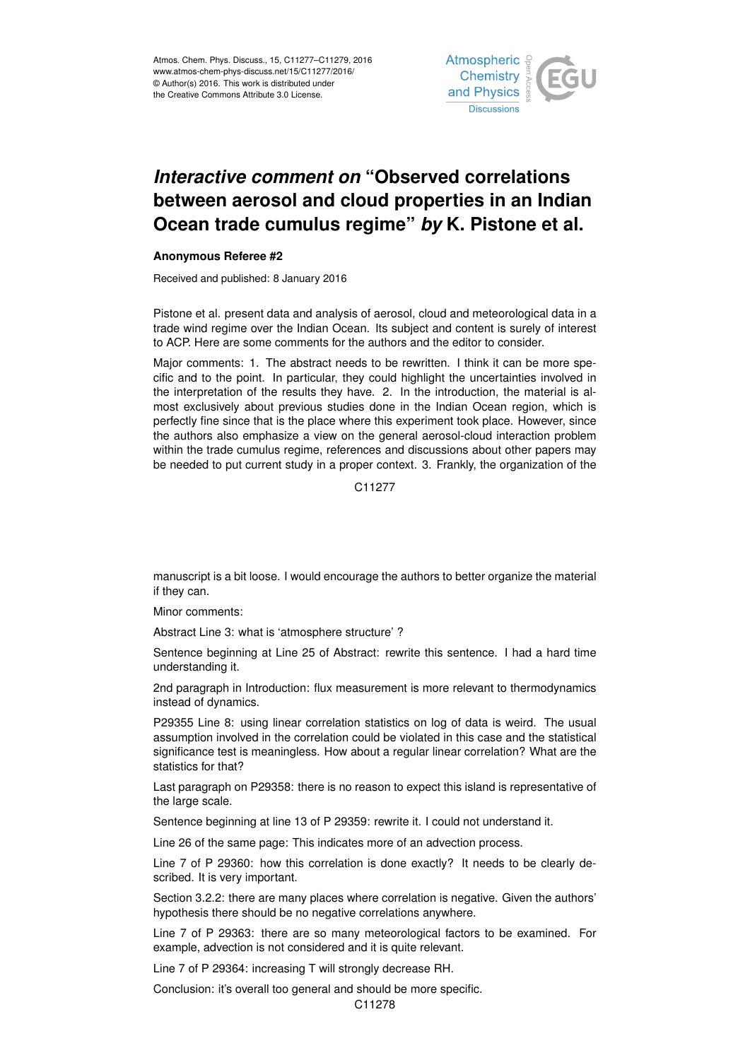

## *Interactive comment on* **"Observed correlations between aerosol and cloud properties in an Indian Ocean trade cumulus regime"** *by* **K. Pistone et al.**

## **Anonymous Referee #2**

Received and published: 8 January 2016

Pistone et al. present data and analysis of aerosol, cloud and meteorological data in a trade wind regime over the Indian Ocean. Its subject and content is surely of interest to ACP. Here are some comments for the authors and the editor to consider.

Major comments: 1. The abstract needs to be rewritten. I think it can be more specific and to the point. In particular, they could highlight the uncertainties involved in the interpretation of the results they have. 2. In the introduction, the material is almost exclusively about previous studies done in the Indian Ocean region, which is perfectly fine since that is the place where this experiment took place. However, since the authors also emphasize a view on the general aerosol-cloud interaction problem within the trade cumulus regime, references and discussions about other papers may be needed to put current study in a proper context. 3. Frankly, the organization of the

C11277

manuscript is a bit loose. I would encourage the authors to better organize the material if they can.

Minor comments:

Abstract Line 3: what is 'atmosphere structure' ?

Sentence beginning at Line 25 of Abstract: rewrite this sentence. I had a hard time understanding it.

2nd paragraph in Introduction: flux measurement is more relevant to thermodynamics instead of dynamics.

P29355 Line 8: using linear correlation statistics on log of data is weird. The usual assumption involved in the correlation could be violated in this case and the statistical significance test is meaningless. How about a regular linear correlation? What are the statistics for that?

Last paragraph on P29358: there is no reason to expect this island is representative of the large scale.

Sentence beginning at line 13 of P 29359: rewrite it. I could not understand it.

Line 26 of the same page: This indicates more of an advection process.

Line 7 of P 29360: how this correlation is done exactly? It needs to be clearly described. It is very important.

Section 3.2.2: there are many places where correlation is negative. Given the authors' hypothesis there should be no negative correlations anywhere.

Line 7 of P 29363: there are so many meteorological factors to be examined. For example, advection is not considered and it is quite relevant.

Line 7 of P 29364: increasing T will strongly decrease RH.

Conclusion: it's overall too general and should be more specific.